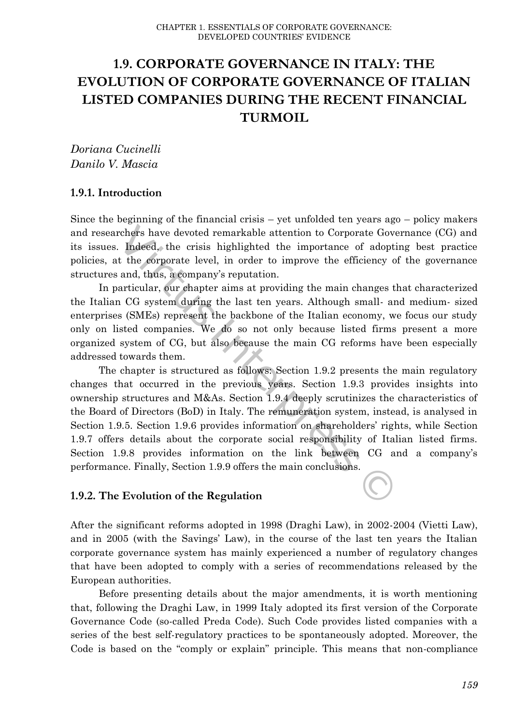# **1.9. CORPORATE GOVERNANCE IN ITALY: THE EVOLUTION OF CORPORATE GOVERNANCE OF ITALIAN LISTED COMPANIES DURING THE RECENT FINANCIAL TURMOIL**

*Doriana Cucinelli Danilo V. Mascia*

### **1.9.1. Introduction**

Since the beginning of the financial crisis – yet unfolded ten years ago – policy makers and researchers have devoted remarkable attention to Corporate Governance (CG) and its issues. Indeed, the crisis highlighted the importance of adopting best practice policies, at the corporate level, in order to improve the efficiency of the governance structures and, thus, a company's reputation.

In particular, our chapter aims at providing the main changes that characterized the Italian CG system during the last ten years. Although small- and medium- sized enterprises (SMEs) represent the backbone of the Italian economy, we focus our study only on listed companies. We do so not only because listed firms present a more organized system of CG, but also because the main CG reforms have been especially addressed towards them.

The chapter is structured as follows: Section 1.9.2 presents the main regulatory changes that occurred in the previous years. Section 1.9.3 provides insights into ownership structures and M&As. Section 1.9.4 deeply scrutinizes the characteristics of the Board of Directors (BoD) in Italy. The remuneration system, instead, is analysed in Section 1.9.5. Section 1.9.6 provides information on shareholders' rights, while Section 1.9.7 offers details about the corporate social responsibility of Italian listed firms. Section 1.9.8 provides information on the link between CG and a company's performance. Finally, Section 1.9.9 offers the main conclusions. rchers have devoted remarkable attention to Corporate Governation. Indeed, the crisis highlighted the importance of adopt t the corporate level, in order to improve the efficiency of and, thus, a company's reputation.<br>
ar

#### **1.9.2. The Evolution of the Regulation**

After the significant reforms adopted in 1998 (Draghi Law), in 2002-2004 (Vietti Law), and in 2005 (with the Savings' Law), in the course of the last ten years the Italian corporate governance system has mainly experienced a number of regulatory changes that have been adopted to comply with a series of recommendations released by the European authorities.

Before presenting details about the major amendments, it is worth mentioning that, following the Draghi Law, in 1999 Italy adopted its first version of the Corporate Governance Code (so-called Preda Code). Such Code provides listed companies with a series of the best self-regulatory practices to be spontaneously adopted. Moreover, the Code is based on the "comply or explain" principle. This means that non-compliance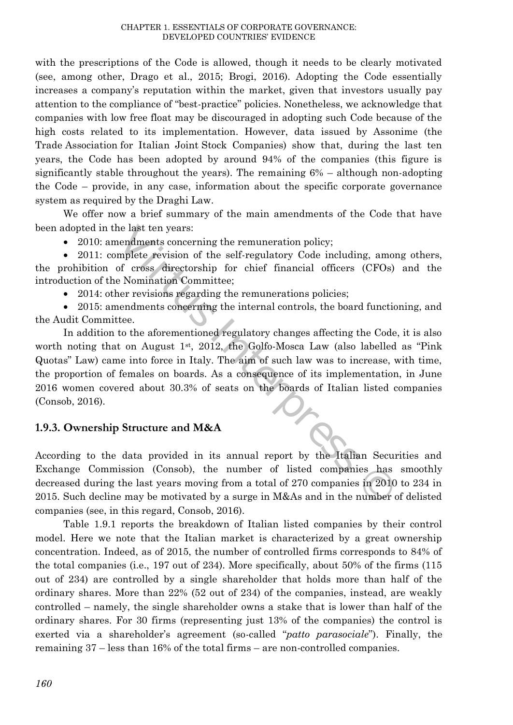with the prescriptions of the Code is allowed, though it needs to be clearly motivated (see, among other, Drago et al., 2015; Brogi, 2016). Adopting the Code essentially increases a company's reputation within the market, given that investors usually pay attention to the compliance of "best-practice" policies. Nonetheless, we acknowledge that companies with low free float may be discouraged in adopting such Code because of the high costs related to its implementation. However, data issued by Assonime (the Trade Association for Italian Joint Stock Companies) show that, during the last ten years, the Code has been adopted by around 94% of the companies (this figure is significantly stable throughout the years). The remaining 6% – although non-adopting the Code – provide, in any case, information about the specific corporate governance system as required by the Draghi Law.

We offer now a brief summary of the main amendments of the Code that have been adopted in the last ten years:

• 2010: amendments concerning the remuneration policy;

 2011: complete revision of the self-regulatory Code including, among others, the prohibition of cross directorship for chief financial officers (CFOs) and the introduction of the Nomination Committee;

• 2014: other revisions regarding the remunerations policies;

 2015: amendments concerning the internal controls, the board functioning, and the Audit Committee.

In addition to the aforementioned regulatory changes affecting the Code, it is also worth noting that on August  $1<sup>st</sup>$ , 2012, the Golfo-Mosca Law (also labelled as "Pink") Quotas" Law) came into force in Italy. The aim of such law was to increase, with time, the proportion of females on boards. As a consequence of its implementation, in June 2016 women covered about 30.3% of seats on the boards of Italian listed companies (Consob, 2016). The last ten years:<br>
interpret in the self-regulatory Code including, amomorforms concerning the remuneration policy;<br>
Nomination Committee, (CFOs)<br>
Nomination Committee,<br>
interpret or chief financial officers (CFOs)<br>
int

# **1.9.3. Ownership Structure and M&A**

According to the data provided in its annual report by the Italian Securities and Exchange Commission (Consob), the number of listed companies has smoothly decreased during the last years moving from a total of 270 companies in 2010 to 234 in 2015. Such decline may be motivated by a surge in M&As and in the number of delisted companies (see, in this regard, Consob, 2016).

Table 1.9.1 reports the breakdown of Italian listed companies by their control model. Here we note that the Italian market is characterized by a great ownership concentration. Indeed, as of 2015, the number of controlled firms corresponds to 84% of the total companies (i.e., 197 out of 234). More specifically, about 50% of the firms (115 out of 234) are controlled by a single shareholder that holds more than half of the ordinary shares. More than 22% (52 out of 234) of the companies, instead, are weakly controlled – namely, the single shareholder owns a stake that is lower than half of the ordinary shares. For 30 firms (representing just 13% of the companies) the control is exerted via a shareholder's agreement (so-called "*patto parasociale*"). Finally, the remaining 37 – less than 16% of the total firms – are non-controlled companies.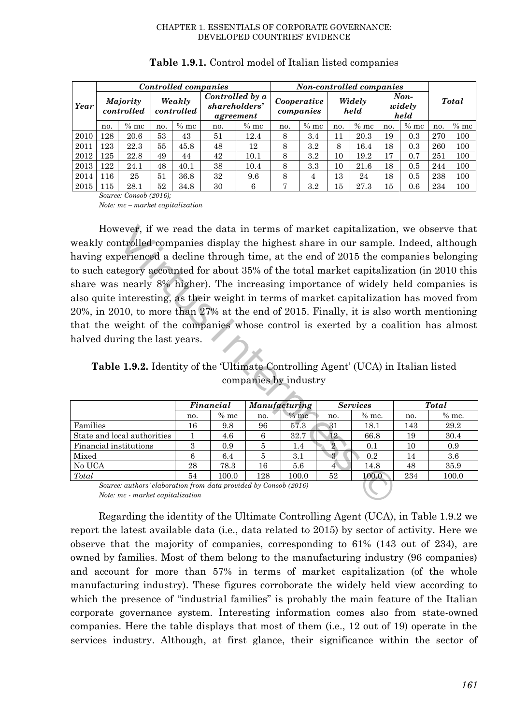|      |                        |        | Controlled companies | Non-controlled companies |                                               |        |                          |         |                |        |                          |        |              |        |
|------|------------------------|--------|----------------------|--------------------------|-----------------------------------------------|--------|--------------------------|---------|----------------|--------|--------------------------|--------|--------------|--------|
| Year | Majority<br>controlled |        | Weakly<br>controlled |                          | Controlled by a<br>shareholders'<br>agreement |        | Cooperative<br>companies |         | Widely<br>held |        | $Non-$<br>widely<br>held |        | <b>Total</b> |        |
|      | no.                    | $%$ mc | no.                  | $%$ mc                   | no.                                           | $%$ mc | no.                      | $%$ mc  | no.            | $%$ mc | no.                      | $%$ mc | no.          | $%$ mc |
| 2010 | 128                    | 20.6   | 53                   | 43                       | 51                                            | 12.4   | 8                        | 3.4     | 11             | 20.3   | 19                       | 0.3    | 270          | 100    |
| 2011 | 123                    | 22.3   | 55                   | 45.8                     | 48                                            | 12     | 8                        | $3.2\,$ | 8              | 16.4   | 18                       | 0.3    | 260          | 100    |
| 2012 | 125                    | 22.8   | 49                   | 44                       | 42                                            | 10.1   | 8                        | $3.2\,$ | 10             | 19.2   | 17                       | 0.7    | 251          | 100    |
| 2013 | 122                    | 24.1   | 48                   | 40.1                     | 38                                            | 10.4   | 8                        | 3.3     | 10             | 21.6   | 18                       | 0.5    | 244          | 100    |
| 2014 | 116                    | 25     | 51                   | 36.8                     | 32                                            | 9.6    | 8                        | 4       | 13             | 24     | 18                       | 0.5    | 238          | 100    |
| 2015 | 115                    | 28.1   | 52                   | 34.8                     | 30                                            | 6      | $\overline{ }$           | 3.2     | 15             | 27.3   | 15                       | 0.6    | 234          | 100    |

#### **Table 1.9.1.** Control model of Italian listed companies

*Source: Consob (2016);* 

*Note: mc – market capitalization* 

However, if we read the data in terms of market capitalization, we observe that weakly controlled companies display the highest share in our sample. Indeed, although having experienced a decline through time, at the end of 2015 the companies belonging to such category accounted for about 35% of the total market capitalization (in 2010 this share was nearly 8% higher). The increasing importance of widely held companies is also quite interesting, as their weight in terms of market capitalization has moved from 20%, in 2010, to more than 27% at the end of 2015. Finally, it is also worth mentioning that the weight of the companies whose control is exerted by a coalition has almost halved during the last years. viewer, if we read the data in terms of market capitalization<br>throlled companies display the highest share in our sample.<br>perienced a decline through time, at the end of 2015 the cor<br>tegory accounted for about 35% of the

**Table 1.9.2.** Identity of the 'Ultimate Controlling Agent' (UCA) in Italian listed companies by industry

|                             |     | Financial |     | Manufacturing |     | <b>Services</b> |     | <b>Total</b> |
|-----------------------------|-----|-----------|-----|---------------|-----|-----------------|-----|--------------|
|                             | no. | $%$ mc    | no. | $%$ mc        | no. | $%$ mc.         | no. | $%$ mc.      |
| Families                    | 16  | 9.8       | 96  | 57.3          | 31  | 18.1            | 143 | 29.2         |
| State and local authorities |     | 4.6       | 6   | 32.7          | 12  | 66.8            | 19  | 30.4         |
| Financial institutions      | 3   | 0.9       | 5   | 1.4           |     | 0.1             | 10  | 0.9          |
| Mixed                       | 6   | 6.4       | 5   | 3.1           | 3   | $0.2\,$         | 14  | 3.6          |
| No UCA                      | 28  | 78.3      | 16  | 5.6           | 4   | 14.8            | 48  | 35.9         |
| Total                       | 54  | 100.0     | 128 | 100.0         | 52  | 100.0           | 234 | 100.0        |

*Source: authors' elaboration from data provided by Consob (2016) Note: mc - market capitalization*

Regarding the identity of the Ultimate Controlling Agent (UCA), in Table 1.9.2 we report the latest available data (i.e., data related to 2015) by sector of activity. Here we observe that the majority of companies, corresponding to 61% (143 out of 234), are owned by families. Most of them belong to the manufacturing industry (96 companies) and account for more than 57% in terms of market capitalization (of the whole manufacturing industry). These figures corroborate the widely held view according to which the presence of "industrial families" is probably the main feature of the Italian corporate governance system. Interesting information comes also from state-owned companies. Here the table displays that most of them (i.e., 12 out of 19) operate in the services industry. Although, at first glance, their significance within the sector of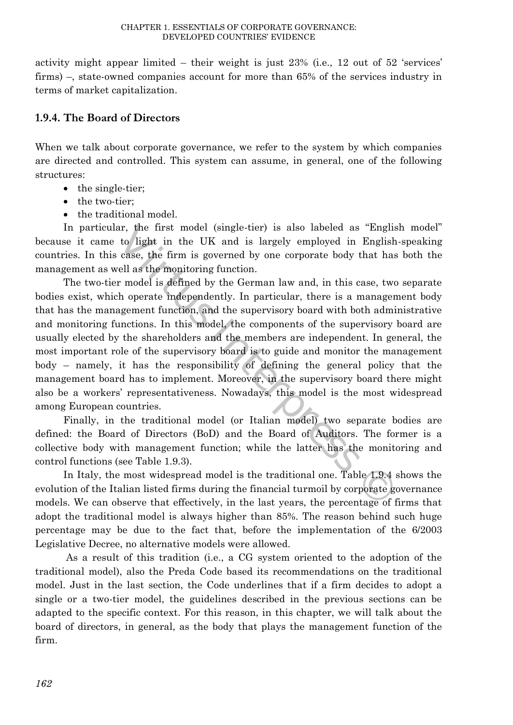activity might appear limited – their weight is just 23% (i.e., 12 out of 52 'services' firms) –, state-owned companies account for more than 65% of the services industry in terms of market capitalization.

# **1.9.4. The Board of Directors**

When we talk about corporate governance, we refer to the system by which companies are directed and controlled. This system can assume, in general, one of the following structures:

- the single-tier;
- the two-tier;
- the traditional model.

In particular, the first model (single-tier) is also labeled as "English model" because it came to light in the UK and is largely employed in English-speaking countries. In this case, the firm is governed by one corporate body that has both the management as well as the monitoring function.

The two-tier model is defined by the German law and, in this case, two separate bodies exist, which operate independently. In particular, there is a management body that has the management function, and the supervisory board with both administrative and monitoring functions. In this model, the components of the supervisory board are usually elected by the shareholders and the members are independent. In general, the most important role of the supervisory board is to guide and monitor the management body – namely, it has the responsibility of defining the general policy that the management board has to implement. Moreover, in the supervisory board there might also be a workers' representativeness. Nowadays, this model is the most widespread among European countries. ar, the first model (single-tier) is also labeled as "Engli to light in the UK and is largely employed in English case, the firm is governed by one corporate body that ha ell as the monitoring function.<br>The model is defin

Finally, in the traditional model (or Italian model) two separate bodies are defined: the Board of Directors (BoD) and the Board of Auditors. The former is a collective body with management function; while the latter has the monitoring and control functions (see Table 1.9.3).

In Italy, the most widespread model is the traditional one. Table 1.9.4 shows the evolution of the Italian listed firms during the financial turmoil by corporate governance models. We can observe that effectively, in the last years, the percentage of firms that adopt the traditional model is always higher than 85%. The reason behind such huge percentage may be due to the fact that, before the implementation of the 6/2003 Legislative Decree, no alternative models were allowed.

As a result of this tradition (i.e., a CG system oriented to the adoption of the traditional model), also the Preda Code based its recommendations on the traditional model. Just in the last section, the Code underlines that if a firm decides to adopt a single or a two-tier model, the guidelines described in the previous sections can be adapted to the specific context. For this reason, in this chapter, we will talk about the board of directors, in general, as the body that plays the management function of the firm.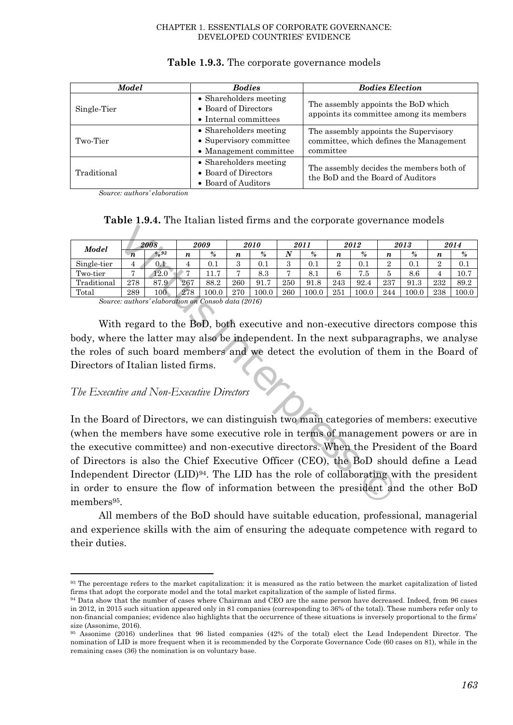| Model       | <b>Bodies</b>                                                               | <b>Bodies Election</b>                                                                        |
|-------------|-----------------------------------------------------------------------------|-----------------------------------------------------------------------------------------------|
| Single-Tier | • Shareholders meeting<br>• Board of Directors<br>• Internal committees     | The assembly appoints the BoD which<br>appoints its committee among its members               |
| Two-Tier    | • Shareholders meeting<br>• Supervisory committee<br>• Management committee | The assembly appoints the Supervisory<br>committee, which defines the Management<br>committee |
| Traditional | • Shareholders meeting<br>• Board of Directors<br>• Board of Auditors       | The assembly decides the members both of<br>the BoD and the Board of Auditors                 |

#### **Table 1.9.3.** The corporate governance models

*Source: authors' elaboration*

**Table 1.9.4.** The Italian listed firms and the corporate governance models

| <b>Model</b> | 2008             |                | 2009             |                         | 2010          |               | 2011   |         | 2012 |         | 2013             |               | 2014             |       |
|--------------|------------------|----------------|------------------|-------------------------|---------------|---------------|--------|---------|------|---------|------------------|---------------|------------------|-------|
|              | $\boldsymbol{n}$ | $\frac{9}{93}$ | $\boldsymbol{n}$ | %                       | n             | $\frac{9}{6}$ | N      | %       | n    | $\%$    | $\boldsymbol{n}$ | $\frac{9}{6}$ | $\boldsymbol{n}$ | %     |
| Single-tier  | 4                | 0.1            |                  | $\rm 0.1$               | $\Omega$<br>↩ | U. 1          | ົ<br>υ | $0.1\,$ | ∸    | $0.1\,$ | റ<br>▵           | $0.1\,$       | $\Omega$<br>↵    | 0.1   |
| Two-tier     | ь                | 12.0           |                  | $\overline{ }$<br>11. ( | -             | 8.3           | -      | 8.1     | 6    | 7.5     | ð                | 8.6           | 4                | 10.7  |
| Traditional  | 278              | 87.9           | 267              | 88.2                    | 260           | 91.7          | 250    | 91.8    | 243  | 92.4    | 237              | 91.3          | 232              | 89.2  |
| Total        | 289              | $100\,$        | 278              | 100.0                   | 270           | 100.0         | 260    | 100.0   | 251  | 0.001   | 244              | 100.0         | 238              | 100.0 |

*Source: authors' elaboration on Consob data (2016)*

With regard to the BoD, both executive and non-executive directors compose this body, where the latter may also be independent. In the next subparagraphs, we analyse the roles of such board members and we detect the evolution of them in the Board of Directors of Italian listed firms.

#### *The Executive and Non-Executive Directors*

 $\overline{a}$ 

In the Board of Directors, we can distinguish two main categories of members: executive (when the members have some executive role in terms of management powers or are in the executive committee) and non-executive directors. When the President of the Board of Directors is also the Chief Executive Officer (CEO), the BoD should define a Lead Independent Director  $(LID)^{94}$ . The LID has the role of collaborating with the president in order to ensure the flow of information between the president and the other BoD members<sup>95</sup>. **2008** 2009 2010 2011 2012<br> **1**  $\frac{2008}{4}$   $\frac{2009}{4}$   $\frac{2010}{5}$   $\frac{2011}{8}$   $\frac{2012}{1}$   $\frac{2012}{5}$   $\frac{1}{6}$   $\frac{4}{1}$   $\frac{0.1}{0.1}$   $\frac{4}{3}$   $\frac{0.1}{0.1}$   $\frac{3}{3}$   $\frac{0.1}{0.1}$   $\frac{2}{2}$   $\frac{0.1}{0.1}$   $\frac{2$ 

All members of the BoD should have suitable education, professional, managerial and experience skills with the aim of ensuring the adequate competence with regard to their duties.

<sup>93</sup> The percentage refers to the market capitalization: it is measured as the ratio between the market capitalization of listed firms that adopt the corporate model and the total market capitalization of the sample of listed firms.

<sup>94</sup> Data show that the number of cases where Chairman and CEO are the same person have decreased. Indeed, from 96 cases in 2012, in 2015 such situation appeared only in 81 companies (corresponding to 36% of the total). These numbers refer only to non-financial companies; evidence also highlights that the occurrence of these situations is inversely proportional to the firms' size (Assonime, 2016).

<sup>95</sup> Assonime (2016) underlines that 96 listed companies (42% of the total) elect the Lead Independent Director. The nomination of LID is more frequent when it is recommended by the Corporate Governance Code (60 cases on 81), while in the remaining cases (36) the nomination is on voluntary base.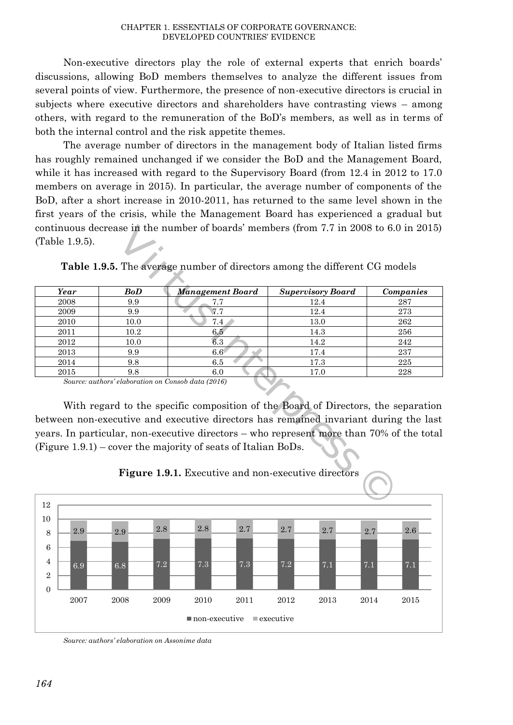Non-executive directors play the role of external experts that enrich boards' discussions, allowing BoD members themselves to analyze the different issues from several points of view. Furthermore, the presence of non-executive directors is crucial in subjects where executive directors and shareholders have contrasting views – among others, with regard to the remuneration of the BoD's members, as well as in terms of both the internal control and the risk appetite themes.

The average number of directors in the management body of Italian listed firms has roughly remained unchanged if we consider the BoD and the Management Board, while it has increased with regard to the Supervisory Board (from 12.4 in 2012 to 17.0) members on average in 2015). In particular, the average number of components of the BoD, after a short increase in 2010-2011, has returned to the same level shown in the first years of the crisis, while the Management Board has experienced a gradual but continuous decrease in the number of boards' members (from 7.7 in 2008 to 6.0 in 2015) (Table 1.9.5).

|                |            | continuous decrease in the number of boards' members (from 7.7 in 2008 to 6.0 in 2015)   |                          |           |
|----------------|------------|------------------------------------------------------------------------------------------|--------------------------|-----------|
| (Table 1.9.5). |            |                                                                                          |                          |           |
|                |            |                                                                                          |                          |           |
|                |            | <b>Table 1.9.5.</b> The average number of directors among the different CG models        |                          |           |
|                |            |                                                                                          |                          |           |
| Year           | <b>BoD</b> | Management Board                                                                         | <b>Supervisory Board</b> | Companies |
| 2008           | 9.9        | 7.7                                                                                      | 12.4                     | 287       |
| 2009           | 9.9        | 7.7                                                                                      | 12.4                     | 273       |
| 2010           | 10.0       | 7.4                                                                                      | 13.0                     | 262       |
| 2011           | 10.2       | 6.5                                                                                      | 14.3                     | 256       |
| 2012           | 10.0       | 6.3                                                                                      | 14.2                     | 242       |
| 2013           | 9.9        | $6.6^{\circ}$                                                                            | 17.4                     | 237       |
| 2014           | 9.8        | 6.5                                                                                      | 17.3                     | 225       |
| 2015           | 9.8        | 6.0                                                                                      | 17.0                     | 228       |
|                |            | Source: authors' elaboration on Consob data (2016)                                       |                          |           |
|                |            |                                                                                          |                          |           |
|                |            | With regard to the specific composition of the Board of Directors, the separation        |                          |           |
|                |            | between non-executive and executive directors has remained invariant during the last     |                          |           |
|                |            |                                                                                          |                          |           |
|                |            | years. In particular, non-executive directors – who represent more than 70% of the total |                          |           |
|                |            | (Figure $1.9.1$ ) – cover the majority of seats of Italian BoDs.                         |                          |           |
|                |            |                                                                                          |                          |           |
|                |            |                                                                                          |                          |           |
|                |            | Figure 1.9.1. Executive and non-executive directors                                      |                          |           |
|                |            |                                                                                          |                          |           |
|                |            |                                                                                          |                          |           |

**Table 1.9.5.** The average number of directors among the different CG models



**Figure 1.9.1.** Executive and non-executive directors

*Source: authors' elaboration on Assonime data*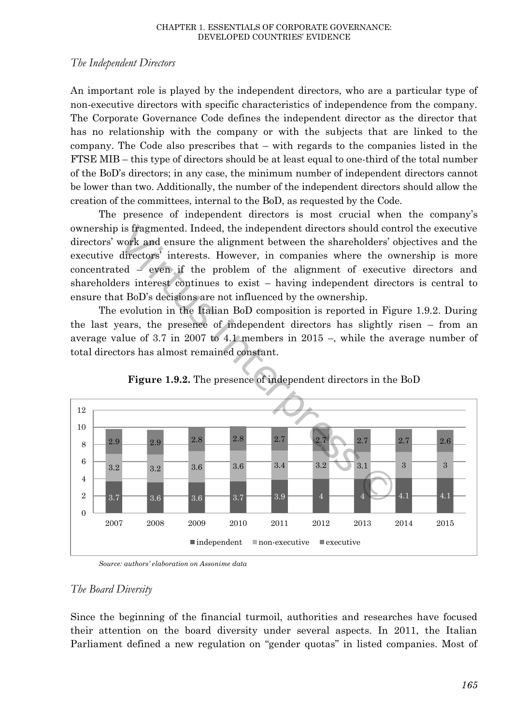### *The Independent Directors*

An important role is played by the independent directors, who are a particular type of non-executive directors with specific characteristics of independence from the company. The Corporate Governance Code defines the independent director as the director that has no relationship with the company or with the subjects that are linked to the company. The Code also prescribes that – with regards to the companies listed in the FTSE MIB – this type of directors should be at least equal to one-third of the total number of the BoD's directors; in any case, the minimum number of independent directors cannot be lower than two. Additionally, the number of the independent directors should allow the creation of the committees, internal to the BoD, as requested by the Code.

The presence of independent directors is most crucial when the company's ownership is fragmented. Indeed, the independent directors should control the executive directors' work and ensure the alignment between the shareholders' objectives and the executive directors' interests. However, in companies where the ownership is more concentrated – even if the problem of the alignment of executive directors and shareholders interest continues to exist – having independent directors is central to ensure that BoD's decisions are not influenced by the ownership.

The evolution in the Italian BoD composition is reported in Figure 1.9.2. During the last years, the presence of independent directors has slightly risen – from an average value of 3.7 in 2007 to 4.1 members in 2015 –, while the average number of total directors has almost remained constant.



**Figure 1.9.2.** The presence of independent directors in the BoD

*Source: authors' elaboration on Assonime data*

# *The Board Diversity*

Since the beginning of the financial turmoil, authorities and researches have focused their attention on the board diversity under several aspects. In 2011, the Italian Parliament defined a new regulation on "gender quotas" in listed companies. Most of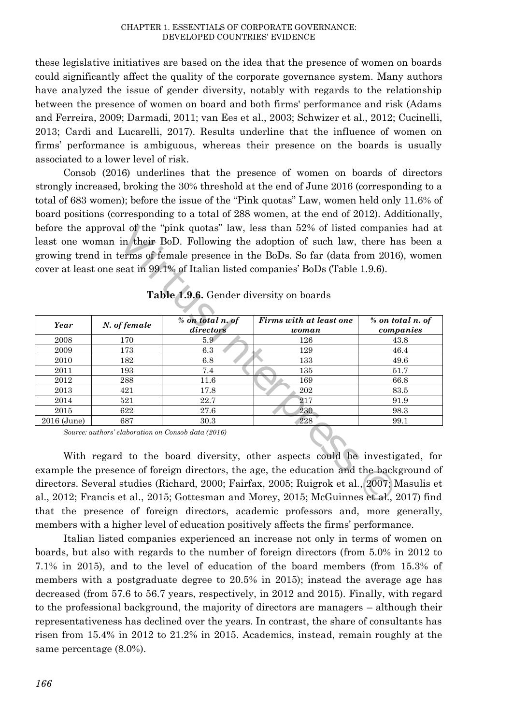these legislative initiatives are based on the idea that the presence of women on boards could significantly affect the quality of the corporate governance system. Many authors have analyzed the issue of gender diversity, notably with regards to the relationship between the presence of women on board and both firms' performance and risk (Adams and Ferreira, 2009; Darmadi, 2011; van Ees et al., 2003; Schwizer et al., 2012; Cucinelli, 2013; Cardi and Lucarelli, 2017). Results underline that the influence of women on firms' performance is ambiguous, whereas their presence on the boards is usually associated to a lower level of risk.

Consob (2016) underlines that the presence of women on boards of directors strongly increased, broking the 30% threshold at the end of June 2016 (corresponding to a total of 683 women); before the issue of the "Pink quotas" Law, women held only 11.6% of board positions (corresponding to a total of 288 women, at the end of 2012). Additionally, before the approval of the "pink quotas" law, less than 52% of listed companies had at least one woman in their BoD. Following the adoption of such law, there has been a growing trend in terms of female presence in the BoDs. So far (data from 2016), women cover at least one seat in 99.1% of Italian listed companies' BoDs (Table 1.9.6).

|             |                                                    | Table 1.9.6. Gender diversity on boards | before the approval of the "pink quotas" law, less than 52% of listed companies had at<br>least one woman in their BoD. Following the adoption of such law, there has been a<br>growing trend in terms of female presence in the BoDs. So far (data from 2016), women<br>cover at least one seat in 99.1% of Italian listed companies' BoDs (Table 1.9.6). |                               |
|-------------|----------------------------------------------------|-----------------------------------------|------------------------------------------------------------------------------------------------------------------------------------------------------------------------------------------------------------------------------------------------------------------------------------------------------------------------------------------------------------|-------------------------------|
| Year        | N. of female                                       | % on total n. of<br>directors           | Firms with at least one<br>woman                                                                                                                                                                                                                                                                                                                           | % on total n. of<br>companies |
| 2008        | 170                                                | 5.9 <sub>°</sub>                        | 126                                                                                                                                                                                                                                                                                                                                                        | 43.8                          |
| 2009        | 173                                                | 6.3                                     | 129                                                                                                                                                                                                                                                                                                                                                        | 46.4                          |
| 2010        | 182                                                | 6.8                                     | 133                                                                                                                                                                                                                                                                                                                                                        | 49.6                          |
| 2011        | 193                                                | 7.4                                     | 135                                                                                                                                                                                                                                                                                                                                                        | 51.7                          |
| 2012        | 288                                                | 11.6                                    | 169                                                                                                                                                                                                                                                                                                                                                        | 66.8                          |
| 2013        | 421                                                | 17.8                                    | 202                                                                                                                                                                                                                                                                                                                                                        | 83.5                          |
| 2014        | 521                                                | 22.7                                    | 217                                                                                                                                                                                                                                                                                                                                                        | 91.9                          |
| 2015        | 622                                                | 27.6                                    | 230                                                                                                                                                                                                                                                                                                                                                        | 98.3                          |
| 2016 (June) | 687                                                | 30.3                                    | 228                                                                                                                                                                                                                                                                                                                                                        | 99.1                          |
|             | Source: authors' elaboration on Consob data (2016) |                                         | With regard to the board diversity, other aspects could be investigated, for<br>example the presence of foreign directors, the age, the education and the background of                                                                                                                                                                                    |                               |
|             |                                                    |                                         | directors. Several studies (Richard, 2000; Fairfax, 2005; Ruigrok et al., 2007; Masulis et                                                                                                                                                                                                                                                                 |                               |
|             |                                                    |                                         | al 2012; Francis et al. 2015; Gottesman and Morey 2015; McGuinnes et al. 2017) find                                                                                                                                                                                                                                                                        |                               |

**Table 1.9.6.** Gender diversity on boards

With regard to the board diversity, other aspects could be investigated, for example the presence of foreign directors, the age, the education and the background of directors. Several studies (Richard, 2000; Fairfax, 2005; Ruigrok et al., 2007; Masulis et al., 2012; Francis et al., 2015; Gottesman and Morey, 2015; McGuinnes et al., 2017) find that the presence of foreign directors, academic professors and, more generally, members with a higher level of education positively affects the firms' performance.

Italian listed companies experienced an increase not only in terms of women on boards, but also with regards to the number of foreign directors (from 5.0% in 2012 to 7.1% in 2015), and to the level of education of the board members (from 15.3% of members with a postgraduate degree to 20.5% in 2015); instead the average age has decreased (from 57.6 to 56.7 years, respectively, in 2012 and 2015). Finally, with regard to the professional background, the majority of directors are managers – although their representativeness has declined over the years. In contrast, the share of consultants has risen from 15.4% in 2012 to 21.2% in 2015. Academics, instead, remain roughly at the same percentage (8.0%).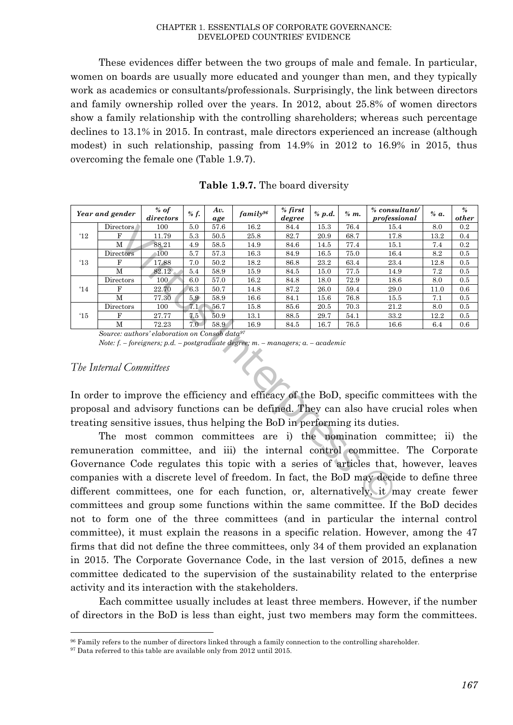These evidences differ between the two groups of male and female. In particular, women on boards are usually more educated and younger than men, and they typically work as academics or consultants/professionals. Surprisingly, the link between directors and family ownership rolled over the years. In 2012, about 25.8% of women directors show a family relationship with the controlling shareholders; whereas such percentage declines to 13.1% in 2015. In contrast, male directors experienced an increase (although modest) in such relationship, passing from 14.9% in 2012 to 16.9% in 2015, thus overcoming the female one (Table 1.9.7).

|               | Year and gender                                                                                                                                                                                                                                                                                                                                          | $%$ of<br>directors | % f. | Av.<br>age | $family^{96}$ | $%$ first<br>degree | % p.d. | $% m$ . | % consultant/<br>professional                                                                                                                                                     | % a. | $\%$<br>other |
|---------------|----------------------------------------------------------------------------------------------------------------------------------------------------------------------------------------------------------------------------------------------------------------------------------------------------------------------------------------------------------|---------------------|------|------------|---------------|---------------------|--------|---------|-----------------------------------------------------------------------------------------------------------------------------------------------------------------------------------|------|---------------|
|               | Directors                                                                                                                                                                                                                                                                                                                                                | 100                 | 5.0  | 57.6       | 16.2          | 84.4                | 15.3   | 76.4    | 15.4                                                                                                                                                                              | 8.0  | 0.2           |
| $^4$ 12       | F                                                                                                                                                                                                                                                                                                                                                        | 11.79               | 5.3  | 50.5       | 25.8          | 82.7                | 20.9   | 68.7    | 17.8                                                                                                                                                                              | 13.2 | 0.4           |
|               | M                                                                                                                                                                                                                                                                                                                                                        | 88.21               | 4.9  | 58.5       | 14.9          | 84.6                | 14.5   | 77.4    | 15.1                                                                                                                                                                              | 7.4  | 0.2           |
|               | Directors                                                                                                                                                                                                                                                                                                                                                | 100                 | 5.7  | 57.3       | 16.3          | 84.9                | 16.5   | 75.0    | 16.4                                                                                                                                                                              | 8.2  | 0.5           |
| $^{\prime}13$ | F                                                                                                                                                                                                                                                                                                                                                        | 17.88               | 7.0  | 50.2       | 18.2          | 86.8                | 23.2   | 63.4    | 23.4                                                                                                                                                                              | 12.8 | 0.5           |
|               | М                                                                                                                                                                                                                                                                                                                                                        | 82.12               | 5.4  | 58.9       | 15.9          | 84.5                | 15.0   | 77.5    | 14.9                                                                                                                                                                              | 7.2  | 0.5           |
|               | Directors                                                                                                                                                                                                                                                                                                                                                | 100                 | 6.0  | 57.0       | 16.2          | 84.8                | 18.0   | 72.9    | 18.6                                                                                                                                                                              | 8.0  | 0.5           |
| '14           | F                                                                                                                                                                                                                                                                                                                                                        | 22.70               | 6.3  | 50.7       | 14.8          | 87.2                | 26.0   | 59.4    | 29.0                                                                                                                                                                              | 11.0 | 0.6           |
|               | M                                                                                                                                                                                                                                                                                                                                                        | 77.30               | 5.9  | 58.9       | 16.6          | 84.1                | 15.6   | 76.8    | 15.5                                                                                                                                                                              | 7.1  | 0.5           |
|               | Directors                                                                                                                                                                                                                                                                                                                                                | 100                 | 7.1  | 56.7       | 15.8          | 85.6                | 20.5   | 70.3    | 21.2                                                                                                                                                                              | 8.0  | 0.5           |
| $^{\prime}15$ | F                                                                                                                                                                                                                                                                                                                                                        | 27.77               | 7.5  | 50.9       | 13.1          | 88.5                | 29.7   | 54.1    | 33.2                                                                                                                                                                              | 12.2 | 0.5           |
|               | M                                                                                                                                                                                                                                                                                                                                                        | 72.23               | 7.0  | 58.9       | 16.9          | 84.5                | 16.7   | 76.5    | 16.6                                                                                                                                                                              | 6.4  | 0.6           |
|               | Source: authors' elaboration on Consob data <sup>97</sup><br>Note: f. – foreigners; p.d. – postgraduate degree; m. – managers; a. – academic<br>The Internal Committees                                                                                                                                                                                  |                     |      |            |               |                     |        |         |                                                                                                                                                                                   |      |               |
|               |                                                                                                                                                                                                                                                                                                                                                          |                     |      |            |               |                     |        |         | In order to improve the efficiency and efficacy of the BoD, specific committees with the<br>proposal and advisory functions can be defined. They can also have crucial roles when |      |               |
|               | treating sensitive issues, thus helping the BoD in performing its duties.<br>The most common committees are i) the nomination committee; ii) the                                                                                                                                                                                                         |                     |      |            |               |                     |        |         |                                                                                                                                                                                   |      |               |
|               | remuneration committee, and iii) the internal control committee. The Corporate<br>Governance Code regulates this topic with a series of articles that, however, leaves<br>companies with a discrete level of freedom. In fact, the BoD may decide to define three<br>different committees, one for each function, or, alternatively, it may create fewer |                     |      |            |               |                     |        |         |                                                                                                                                                                                   |      |               |

**Table 1.9.7.** The board diversity

#### *The Internal Committees*

l

The most common committees are i) the nomination committee; ii) the remuneration committee, and iii) the internal control committee. The Corporate Governance Code regulates this topic with a series of articles that, however, leaves companies with a discrete level of freedom. In fact, the BoD may decide to define three different committees, one for each function, or, alternatively, it may create fewer committees and group some functions within the same committee. If the BoD decides not to form one of the three committees (and in particular the internal control committee), it must explain the reasons in a specific relation. However, among the 47 firms that did not define the three committees, only 34 of them provided an explanation in 2015. The Corporate Governance Code, in the last version of 2015, defines a new committee dedicated to the supervision of the sustainability related to the enterprise activity and its interaction with the stakeholders.

Each committee usually includes at least three members. However, if the number of directors in the BoD is less than eight, just two members may form the committees.

<sup>&</sup>lt;sup>96</sup> Family refers to the number of directors linked through a family connection to the controlling shareholder.

<sup>&</sup>lt;sup>97</sup> Data referred to this table are available only from 2012 until 2015.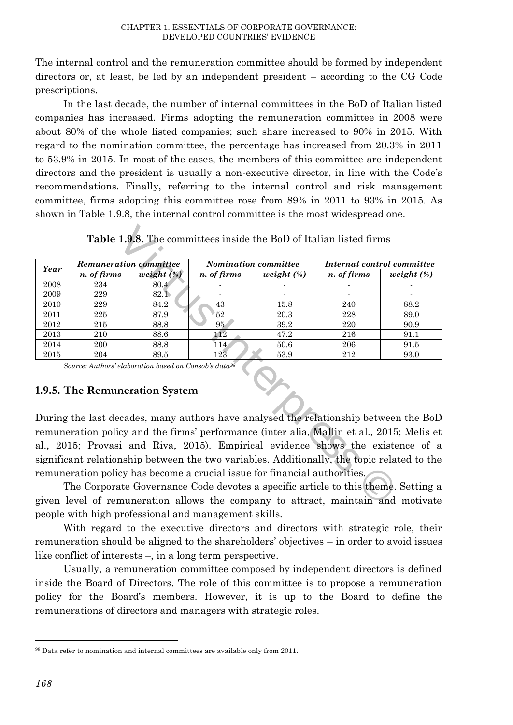The internal control and the remuneration committee should be formed by independent directors or, at least, be led by an independent president – according to the CG Code prescriptions.

In the last decade, the number of internal committees in the BoD of Italian listed companies has increased. Firms adopting the remuneration committee in 2008 were about 80% of the whole listed companies; such share increased to 90% in 2015. With regard to the nomination committee, the percentage has increased from 20.3% in 2011 to 53.9% in 2015. In most of the cases, the members of this committee are independent directors and the president is usually a non-executive director, in line with the Code's recommendations. Finally, referring to the internal control and risk management committee, firms adopting this committee rose from 89% in 2011 to 93% in 2015. As shown in Table 1.9.8, the internal control committee is the most widespread one.

|      | <b>Table 1.9.8.</b> The committees inside the BoD of Italian listed firms                                                                                                     |               |                  |                                                                                           |                            |               |  |  |  |
|------|-------------------------------------------------------------------------------------------------------------------------------------------------------------------------------|---------------|------------------|-------------------------------------------------------------------------------------------|----------------------------|---------------|--|--|--|
|      | <b>Remuneration committee</b>                                                                                                                                                 |               |                  | Nomination committee                                                                      | Internal control committee |               |  |  |  |
| Year | n. of firms                                                                                                                                                                   | weight $(\%)$ | n. of firms      | weight $(\%)$                                                                             | n. of firms                | weight $(\%)$ |  |  |  |
| 2008 | 234                                                                                                                                                                           | 80.4          |                  |                                                                                           |                            |               |  |  |  |
| 2009 | 229                                                                                                                                                                           | 82.1          |                  |                                                                                           |                            |               |  |  |  |
| 2010 | 229                                                                                                                                                                           | 84.2          | 43               | 15.8                                                                                      | 240                        | 88.2          |  |  |  |
| 2011 | 225                                                                                                                                                                           | 87.9          | 52               | 20.3                                                                                      | 228                        | 89.0          |  |  |  |
| 2012 | 215                                                                                                                                                                           | 88.8          | 95               | 39.2                                                                                      | 220                        | 90.9          |  |  |  |
| 2013 | 210                                                                                                                                                                           | 88.6          | 112              | 47.2                                                                                      | 216                        | 91.1          |  |  |  |
| 2014 | 200                                                                                                                                                                           | 88.8          | $\overline{1}14$ | 50.6                                                                                      | 206                        | 91.5          |  |  |  |
| 2015 | 204                                                                                                                                                                           | 89.5          | 123              | 53.9                                                                                      | 212                        | 93.0          |  |  |  |
|      | Source: Authors' elaboration based on Consob's data <sup>98</sup><br>1.9.5. The Remuneration System                                                                           |               |                  |                                                                                           |                            |               |  |  |  |
|      |                                                                                                                                                                               |               |                  | During the last decades, many authors have analysed the relationship between the BoD      |                            |               |  |  |  |
|      |                                                                                                                                                                               |               |                  | remuneration policy and the firms' performance (inter alia, Mallin et al., 2015; Melis et |                            |               |  |  |  |
|      | al., 2015; Provasi and Riva, 2015). Empirical evidence shows the existence of a<br>significant relationship between the two variables. Additionally, the topic related to the |               |                  |                                                                                           |                            |               |  |  |  |
|      |                                                                                                                                                                               |               |                  | remuneration policy has become a crucial issue for financial authorities.                 |                            |               |  |  |  |
|      |                                                                                                                                                                               |               |                  | The Corporate Governance Code devotes a specific article to this theme. Setting a         |                            |               |  |  |  |

**Table 1.9.8.** The committees inside the BoD of Italian listed firms

# **1.9.5. The Remuneration System**

The Corporate Governance Code devotes a specific article to this theme. Setting a given level of remuneration allows the company to attract, maintain and motivate people with high professional and management skills.

With regard to the executive directors and directors with strategic role, their remuneration should be aligned to the shareholders' objectives – in order to avoid issues like conflict of interests –, in a long term perspective.

Usually, a remuneration committee composed by independent directors is defined inside the Board of Directors. The role of this committee is to propose a remuneration policy for the Board's members. However, it is up to the Board to define the remunerations of directors and managers with strategic roles.

 $\overline{a}$ 

<sup>98</sup> Data refer to nomination and internal committees are available only from 2011.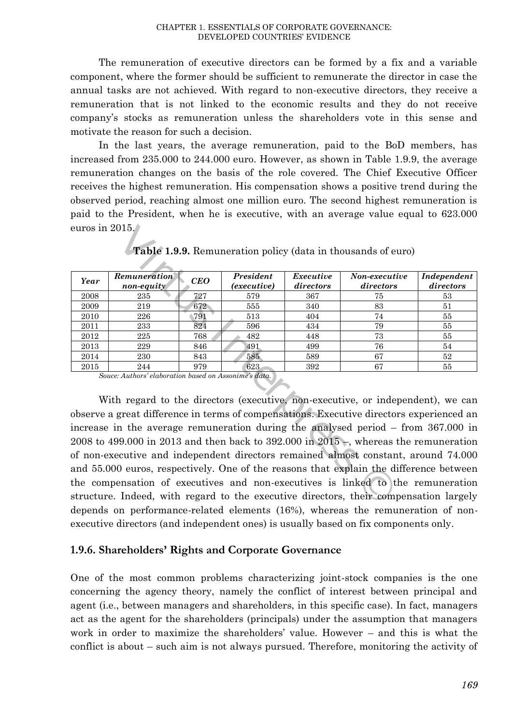The remuneration of executive directors can be formed by a fix and a variable component, where the former should be sufficient to remunerate the director in case the annual tasks are not achieved. With regard to non-executive directors, they receive a remuneration that is not linked to the economic results and they do not receive company's stocks as remuneration unless the shareholders vote in this sense and motivate the reason for such a decision.

In the last years, the average remuneration, paid to the BoD members, has increased from 235.000 to 244.000 euro. However, as shown in Table 1.9.9, the average remuneration changes on the basis of the role covered. The Chief Executive Officer receives the highest remuneration. His compensation shows a positive trend during the observed period, reaching almost one million euro. The second highest remuneration is paid to the President, when he is executive, with an average value equal to 623.000 euros in 2015.

| euros in $2015.$ $\,$ |                                                       |            |                          |                        |                                                                                                                                                                             |                          |
|-----------------------|-------------------------------------------------------|------------|--------------------------|------------------------|-----------------------------------------------------------------------------------------------------------------------------------------------------------------------------|--------------------------|
|                       |                                                       |            |                          |                        | <b>Table 1.9.9.</b> Remuneration policy (data in thousands of euro)                                                                                                         |                          |
|                       |                                                       |            |                          |                        |                                                                                                                                                                             |                          |
| Year                  | Remuneration<br>non-equity                            | <b>CEO</b> | President<br>(executive) | Executive<br>directors | Non-executive<br>directors                                                                                                                                                  | Independent<br>directors |
| 2008                  | 235                                                   | 727        | 579                      | 367                    | 75                                                                                                                                                                          | 53                       |
| 2009                  | 219                                                   | 672        | 555                      | 340                    | 83                                                                                                                                                                          | 51                       |
| 2010                  | 226                                                   | 791        | 513                      | 404                    | 74                                                                                                                                                                          | 55                       |
| 2011                  | 233                                                   | 824        | 596                      | 434                    | 79                                                                                                                                                                          | 55                       |
| 2012                  | 225                                                   | 768        | 482                      | 448                    | 73                                                                                                                                                                          | 55                       |
| 2013                  | 229                                                   | 846        | 491                      | 499                    | 76                                                                                                                                                                          | 54                       |
| 2014                  | 230                                                   | 843        | 585                      | 589                    | 67                                                                                                                                                                          | 52                       |
| 2015                  | 244                                                   | 979        | 623                      | 392                    | 67                                                                                                                                                                          | 55                       |
|                       | Souce: Authors' elaboration based on Assonime's data. |            |                          |                        | With regard to the directors (executive, non-executive, or independent), we can                                                                                             |                          |
|                       |                                                       |            |                          |                        | observe a great difference in terms of compensations. Executive directors experienced an                                                                                    |                          |
|                       |                                                       |            |                          |                        | increase in the average remuneration during the analysed period – from 367.000 in<br>2008 to 499.000 in 2013 and then back to 392.000 in $2015-$ , whereas the remuneration |                          |
|                       |                                                       |            |                          |                        | of non-executive and independent directors remained almost constant, around 74.000                                                                                          |                          |
|                       |                                                       |            |                          |                        | and 55.000 euros, respectively. One of the reasons that explain the difference between                                                                                      |                          |
|                       |                                                       |            |                          |                        | the compensation of executives and non-executives is linked to the remuneration                                                                                             |                          |
|                       |                                                       |            |                          |                        | structure Indeed with regard to the executive directors their compensation largely                                                                                          |                          |

**Table 1.9.9.** Remuneration policy (data in thousands of euro)

With regard to the directors (executive, non-executive, or independent), we can observe a great difference in terms of compensations. Executive directors experienced an increase in the average remuneration during the analysed period – from 367.000 in 2008 to 499.000 in 2013 and then back to 392.000 in 2015 –, whereas the remuneration of non-executive and independent directors remained almost constant, around 74.000 and 55.000 euros, respectively. One of the reasons that explain the difference between the compensation of executives and non-executives is linked to the remuneration structure. Indeed, with regard to the executive directors, their compensation largely depends on performance-related elements (16%), whereas the remuneration of nonexecutive directors (and independent ones) is usually based on fix components only.

#### **1.9.6. Shareholders' Rights and Corporate Governance**

One of the most common problems characterizing joint-stock companies is the one concerning the agency theory, namely the conflict of interest between principal and agent (i.e., between managers and shareholders, in this specific case). In fact, managers act as the agent for the shareholders (principals) under the assumption that managers work in order to maximize the shareholders' value. However – and this is what the conflict is about – such aim is not always pursued. Therefore, monitoring the activity of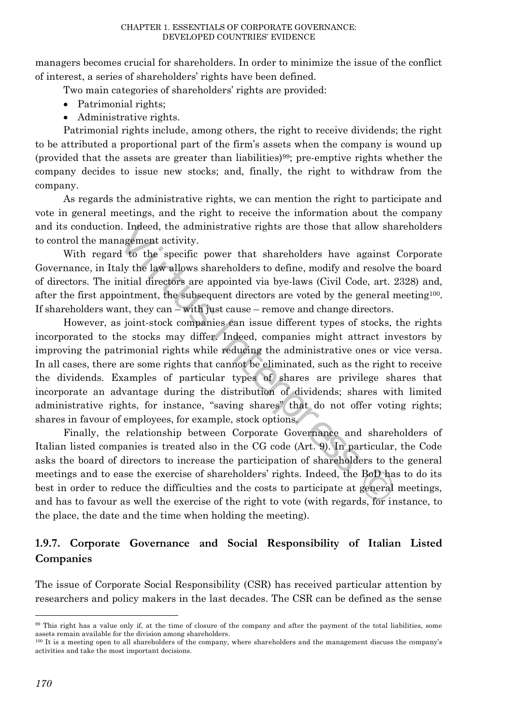managers becomes crucial for shareholders. In order to minimize the issue of the conflict of interest, a series of shareholders' rights have been defined.

Two main categories of shareholders' rights are provided:

- Patrimonial rights:
- Administrative rights.

Patrimonial rights include, among others, the right to receive dividends; the right to be attributed a proportional part of the firm's assets when the company is wound up (provided that the assets are greater than liabilities)99; pre-emptive rights whether the company decides to issue new stocks; and, finally, the right to withdraw from the company.

As regards the administrative rights, we can mention the right to participate and vote in general meetings, and the right to receive the information about the company and its conduction. Indeed, the administrative rights are those that allow shareholders to control the management activity.

With regard to the specific power that shareholders have against Corporate Governance, in Italy the law allows shareholders to define, modify and resolve the board of directors. The initial directors are appointed via bye-laws (Civil Code, art. 2328) and, after the first appointment, the subsequent directors are voted by the general meeting100. If shareholders want, they can – with just cause – remove and change directors.

However, as joint-stock companies can issue different types of stocks, the rights incorporated to the stocks may differ. Indeed, companies might attract investors by improving the patrimonial rights while reducing the administrative ones or vice versa. In all cases, there are some rights that cannot be eliminated, such as the right to receive the dividends. Examples of particular types of shares are privilege shares that incorporate an advantage during the distribution of dividends; shares with limited administrative rights, for instance, "saving shares" that do not offer voting rights; shares in favour of employees, for example, stock options. 1. Indeed, the administrative rights are those that allow shagement activity.<br>
In the specific power that shareholders have against<br>
ally the law allows shareholders to define, modify and resolve<br>
mitial directors are appo

Finally, the relationship between Corporate Governance and shareholders of Italian listed companies is treated also in the CG code (Art. 9). In particular, the Code asks the board of directors to increase the participation of shareholders to the general meetings and to ease the exercise of shareholders' rights. Indeed, the BoD has to do its best in order to reduce the difficulties and the costs to participate at general meetings, and has to favour as well the exercise of the right to vote (with regards, for instance, to the place, the date and the time when holding the meeting).

# **1.9.7. Corporate Governance and Social Responsibility of Italian Listed Companies**

The issue of Corporate Social Responsibility (CSR) has received particular attention by researchers and policy makers in the last decades. The CSR can be defined as the sense

 $\overline{a}$ 

<sup>99</sup> This right has a value only if, at the time of closure of the company and after the payment of the total liabilities, some assets remain available for the division among shareholders.

<sup>&</sup>lt;sup>100</sup> It is a meeting open to all shareholders of the company, where shareholders and the management discuss the company's activities and take the most important decisions.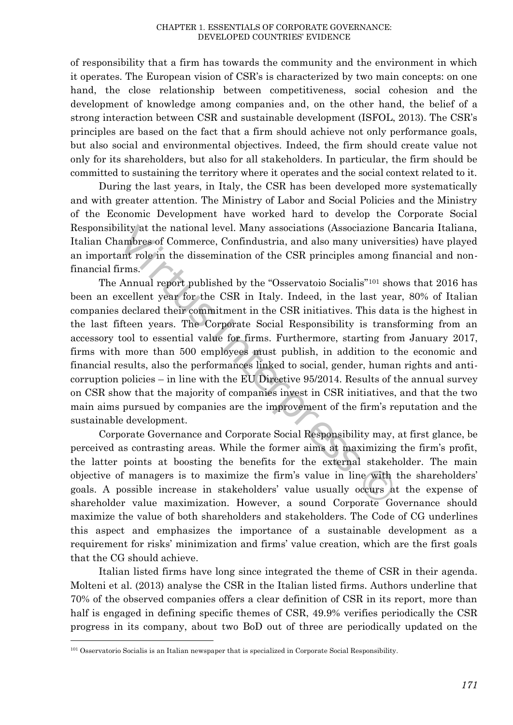of responsibility that a firm has towards the community and the environment in which it operates. The European vision of CSR's is characterized by two main concepts: on one hand, the close relationship between competitiveness, social cohesion and the development of knowledge among companies and, on the other hand, the belief of a strong interaction between CSR and sustainable development (ISFOL, 2013). The CSR's principles are based on the fact that a firm should achieve not only performance goals, but also social and environmental objectives. Indeed, the firm should create value not only for its shareholders, but also for all stakeholders. In particular, the firm should be committed to sustaining the territory where it operates and the social context related to it.

During the last years, in Italy, the CSR has been developed more systematically and with greater attention. The Ministry of Labor and Social Policies and the Ministry of the Economic Development have worked hard to develop the Corporate Social Responsibility at the national level. Many associations (Associazione Bancaria Italiana, Italian Chambres of Commerce, Confindustria, and also many universities) have played an important role in the dissemination of the CSR principles among financial and nonfinancial firms.

The Annual report published by the "Osservatoio Socialis"<sup>101</sup> shows that 2016 has been an excellent year for the CSR in Italy. Indeed, in the last year, 80% of Italian companies declared their commitment in the CSR initiatives. This data is the highest in the last fifteen years. The Corporate Social Responsibility is transforming from an accessory tool to essential value for firms. Furthermore, starting from January 2017, firms with more than 500 employees must publish, in addition to the economic and financial results, also the performances linked to social, gender, human rights and anticorruption policies – in line with the EU Directive 95/2014. Results of the annual survey on CSR show that the majority of companies invest in CSR initiatives, and that the two main aims pursued by companies are the improvement of the firm's reputation and the sustainable development. ility at the national level. Many associations (Associazione lambres of Commerce, Confindustria, and also many universent role in the dissemination of the CSR principles among i<br>trms.<br>Annual report published by the "Osserv

Corporate Governance and Corporate Social Responsibility may, at first glance, be perceived as contrasting areas. While the former aims at maximizing the firm's profit, the latter points at boosting the benefits for the external stakeholder. The main objective of managers is to maximize the firm's value in line with the shareholders' goals. A possible increase in stakeholders' value usually occurs at the expense of shareholder value maximization. However, a sound Corporate Governance should maximize the value of both shareholders and stakeholders. The Code of CG underlines this aspect and emphasizes the importance of a sustainable development as a requirement for risks' minimization and firms' value creation, which are the first goals that the CG should achieve.

Italian listed firms have long since integrated the theme of CSR in their agenda. Molteni et al. (2013) analyse the CSR in the Italian listed firms. Authors underline that 70% of the observed companies offers a clear definition of CSR in its report, more than half is engaged in defining specific themes of CSR, 49.9% verifies periodically the CSR progress in its company, about two BoD out of three are periodically updated on the

 $\overline{\phantom{a}}$ 

<sup>101</sup> Osservatorio Socialis is an Italian newspaper that is specialized in Corporate Social Responsibility.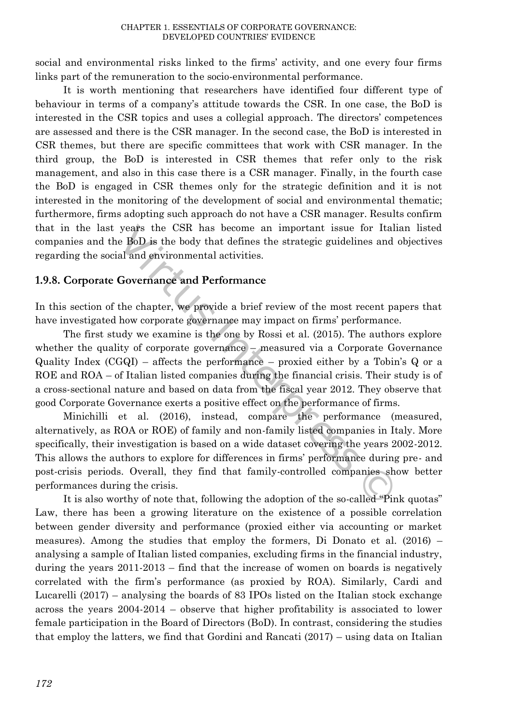social and environmental risks linked to the firms' activity, and one every four firms links part of the remuneration to the socio-environmental performance.

It is worth mentioning that researchers have identified four different type of behaviour in terms of a company's attitude towards the CSR. In one case, the BoD is interested in the CSR topics and uses a collegial approach. The directors' competences are assessed and there is the CSR manager. In the second case, the BoD is interested in CSR themes, but there are specific committees that work with CSR manager. In the third group, the BoD is interested in CSR themes that refer only to the risk management, and also in this case there is a CSR manager. Finally, in the fourth case the BoD is engaged in CSR themes only for the strategic definition and it is not interested in the monitoring of the development of social and environmental thematic; furthermore, firms adopting such approach do not have a CSR manager. Results confirm that in the last years the CSR has become an important issue for Italian listed companies and the BoD is the body that defines the strategic guidelines and objectives regarding the social and environmental activities.

# **1.9.8. Corporate Governance and Performance**

In this section of the chapter, we provide a brief review of the most recent papers that have investigated how corporate governance may impact on firms' performance.

The first study we examine is the one by Rossi et al. (2015). The authors explore whether the quality of corporate governance – measured via a Corporate Governance Quality Index  $(CGQI)$  – affects the performance – proxied either by a Tobin's Q or a ROE and ROA – of Italian listed companies during the financial crisis. Their study is of a cross-sectional nature and based on data from the fiscal year 2012. They observe that good Corporate Governance exerts a positive effect on the performance of firms.

Minichilli et al. (2016), instead, compare the performance (measured, alternatively, as ROA or ROE) of family and non-family listed companies in Italy. More specifically, their investigation is based on a wide dataset covering the years 2002-2012. This allows the authors to explore for differences in firms' performance during pre- and post-crisis periods. Overall, they find that family-controlled companies show better performances during the crisis. years the CSR has become an important issue for Itale BoD is the body that defines the strategic guidelines and al and environmental activities.<br>
Governance and Performance<br>
the chapter, we provide a brief review of the m

It is also worthy of note that, following the adoption of the so-called "Pink quotas" Law, there has been a growing literature on the existence of a possible correlation between gender diversity and performance (proxied either via accounting or market measures). Among the studies that employ the formers, Di Donato et al. (2016) – analysing a sample of Italian listed companies, excluding firms in the financial industry, during the years 2011-2013 – find that the increase of women on boards is negatively correlated with the firm's performance (as proxied by ROA). Similarly, Cardi and Lucarelli (2017) – analysing the boards of 83 IPOs listed on the Italian stock exchange across the years 2004-2014 – observe that higher profitability is associated to lower female participation in the Board of Directors (BoD). In contrast, considering the studies that employ the latters, we find that Gordini and Rancati (2017) – using data on Italian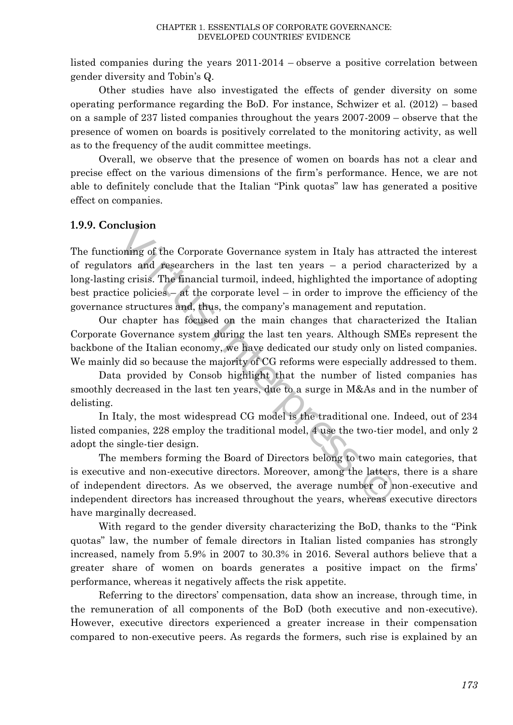listed companies during the years 2011-2014 – observe a positive correlation between gender diversity and Tobin's Q.

Other studies have also investigated the effects of gender diversity on some operating performance regarding the BoD. For instance, Schwizer et al. (2012) – based on a sample of 237 listed companies throughout the years 2007-2009 – observe that the presence of women on boards is positively correlated to the monitoring activity, as well as to the frequency of the audit committee meetings.

Overall, we observe that the presence of women on boards has not a clear and precise effect on the various dimensions of the firm's performance. Hence, we are not able to definitely conclude that the Italian "Pink quotas" law has generated a positive effect on companies.

### **1.9.9. Conclusion**

The functioning of the Corporate Governance system in Italy has attracted the interest of regulators and researchers in the last ten years – a period characterized by a long-lasting crisis. The financial turmoil, indeed, highlighted the importance of adopting best practice policies – at the corporate level – in order to improve the efficiency of the governance structures and, thus, the company's management and reputation. iclusion<br>
ioning of the Corporate Governance system in Italy has attr<br>
ors and researchers in the last ten years – a period cl<br>
gg crisis. The financial turmoil, indeed, highlighted the impo<br>
ice policies – at the corporat

Our chapter has focused on the main changes that characterized the Italian Corporate Governance system during the last ten years. Although SMEs represent the backbone of the Italian economy, we have dedicated our study only on listed companies. We mainly did so because the majority of CG reforms were especially addressed to them.

Data provided by Consob highlight that the number of listed companies has smoothly decreased in the last ten years, due to a surge in M&As and in the number of delisting.

In Italy, the most widespread CG model is the traditional one. Indeed, out of 234 listed companies, 228 employ the traditional model, 4 use the two-tier model, and only 2 adopt the single-tier design.

The members forming the Board of Directors belong to two main categories, that is executive and non-executive directors. Moreover, among the latters, there is a share of independent directors. As we observed, the average number of non-executive and independent directors has increased throughout the years, whereas executive directors have marginally decreased.

With regard to the gender diversity characterizing the BoD, thanks to the "Pink quotas" law, the number of female directors in Italian listed companies has strongly increased, namely from 5.9% in 2007 to 30.3% in 2016. Several authors believe that a greater share of women on boards generates a positive impact on the firms' performance, whereas it negatively affects the risk appetite.

Referring to the directors' compensation, data show an increase, through time, in the remuneration of all components of the BoD (both executive and non-executive). However, executive directors experienced a greater increase in their compensation compared to non-executive peers. As regards the formers, such rise is explained by an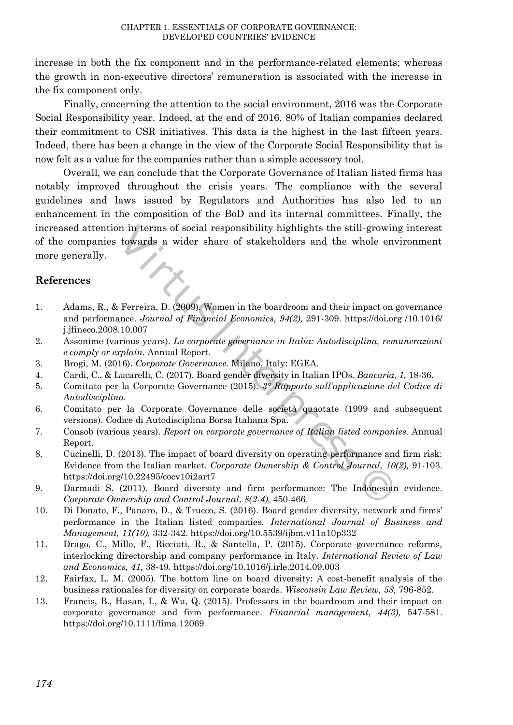increase in both the fix component and in the performance-related elements; whereas the growth in non-executive directors' remuneration is associated with the increase in the fix component only.

Finally, concerning the attention to the social environment, 2016 was the Corporate Social Responsibility year. Indeed, at the end of 2016, 80% of Italian companies declared their commitment to CSR initiatives. This data is the highest in the last fifteen years. Indeed, there has been a change in the view of the Corporate Social Responsibility that is now felt as a value for the companies rather than a simple accessory tool.

Overall, we can conclude that the Corporate Governance of Italian listed firms has notably improved throughout the crisis years. The compliance with the several guidelines and laws issued by Regulators and Authorities has also led to an enhancement in the composition of the BoD and its internal committees. Finally, the increased attention in terms of social responsibility highlights the still-growing interest of the companies towards a wider share of stakeholders and the whole environment more generally. in in terms of social responsibility highlights the still-grown<br>
towards a wider share of stakeholders and the whole en<br>
Ferreira, D. (2009), Women in the boardroom and their impact on<br>
ance. Journal of Financial Economic

# **References**

- 1. Adams, R., & Ferreira, D. (2009). Women in the boardroom and their impact on governance and performance. *Journal of Financial Economics*, *94(2),* 291-309. https://doi.org /10.1016/ j.jfineco.2008.10.007
- 2. Assonime (various years). *La corporate governance in Italia: Autodisciplina, remunerazioni e comply or explain.* Annual Report.
- 3. Brogi, M. (2016). *Corporate Governance*. Milano, Italy: EGEA.
- 4. Cardi, C., & Lucarelli, C. (2017). Board gender diversity in Italian IPOs. *Bancaria, 1,* 18-36.
- 5. Comitato per la Corporate Governance (2015). *3° Rapporto sull'applicazione del Codice di Autodisciplina.*
- 6. Comitato per la Corporate Governance delle società quaotate (1999 and subsequent versions). Codice di Autodisciplina Borsa Italiana Spa.
- 7. Consob (various years). *Report on corporate governance of Italian listed companies.* Annual Report.
- 8. Cucinelli, D. (2013). The impact of board diversity on operating performance and firm risk: Evidence from the Italian market. *Corporate Ownership & Control Journal*, *10(2),* 91-103. <https://doi.org/10.22495/cocv10i2art7>
- 9. Darmadi S. (2011). Board diversity and firm performance: The Indonesian evidence. *Corporate Ownership and Control Journal*, *8(2-4),* 450-466.
- 10. Di Donato, F., Panaro, D., & Trucco, S. (2016). Board gender diversity, network and firms' performance in the Italian listed companies*. International Journal of Business and Management, 11(10),* 332-342[. https://doi.org/10.5539/ijbm.v11n10p332](https://doi.org/10.5539/ijbm.v11n10p332)
- 11. Drago, C., Millo, F., Ricciuti, R., & Santella, P. (2015). Corporate governance reforms, interlocking directorship and company performance in Italy*. International Review of Law and Economics, 41,* 38-49[. https://doi.org/10.1016/j.irle.2014.09.003](https://doi.org/10.1016/j.irle.2014.09.003)
- 12. Fairfax, L. M. (2005). The bottom line on board diversity: A cost-benefit analysis of the business rationales for diversity on corporate boards. *Wisconsin Law Review, 58,* 796-852.
- 13. Francis, B., Hasan, I., & Wu, Q. (2015). Professors in the boardroom and their impact on corporate governance and firm performance. *Financial management*, *44(3),* 547-581. <https://doi.org/10.1111/fima.12069>